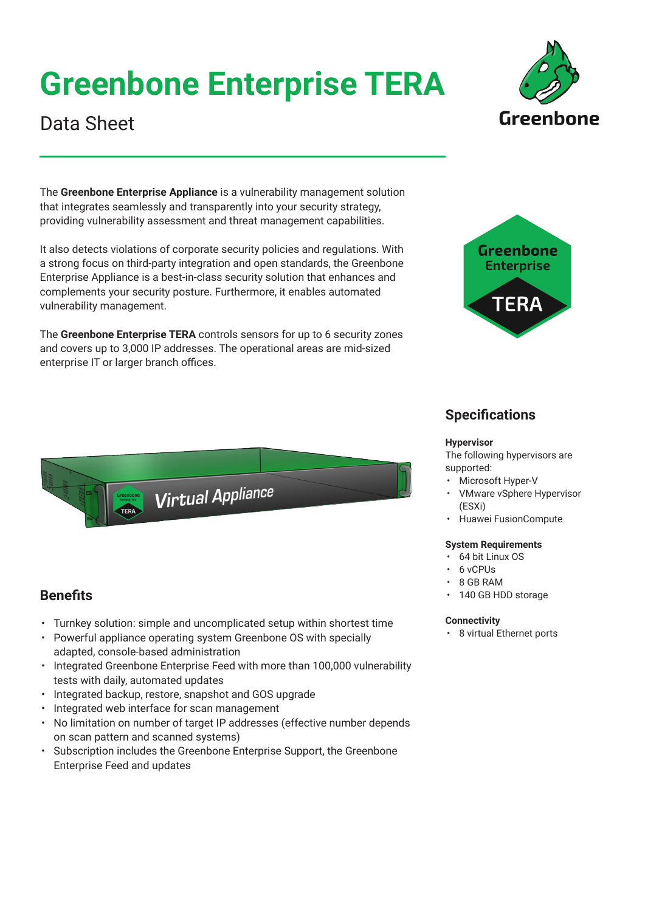# **Greenbone Enterprise TERA**

## Data Sheet

The **Greenbone Enterprise Appliance** is a vulnerability management solution that integrates seamlessly and transparently into your security strategy, providing vulnerability assessment and threat management capabilities.

It also detects violations of corporate security policies and regulations. With a strong focus on third-party integration and open standards, the Greenbone Enterprise Appliance is a best-in-class security solution that enhances and complements your security posture. Furthermore, it enables automated vulnerability management.

The **Greenbone Enterprise TERA** controls sensors for up to 6 security zones and covers up to 3,000 IP addresses. The operational areas are mid-sized enterprise IT or larger branch offices.

• Turnkey solution: simple and uncomplicated setup within shortest time • Powerful appliance operating system Greenbone OS with specially

**Virtual Appliance** 

• Integrated Greenbone Enterprise Feed with more than 100,000 vulnerability

• No limitation on number of target IP addresses (effective number depends

• Subscription includes the Greenbone Enterprise Support, the Greenbone

adapted, console-based administration

on scan pattern and scanned systems)

Enterprise Feed and updates

• Integrated backup, restore, snapshot and GOS upgrade

• Integrated web interface for scan management

tests with daily, automated updates

**Benefits**



Greenhone

### **Specifications**

#### **Hypervisor**

The following hypervisors are supported:

- Microsoft Hyper-V
- VMware vSphere Hypervisor (ESXi)
- Huawei FusionCompute

### **System Requirements**

- 64 bit Linux OS
- 6 vCPUs
- 8 GB RAM
- 140 GB HDD storage

#### **Connectivity**

• 8 virtual Ethernet ports